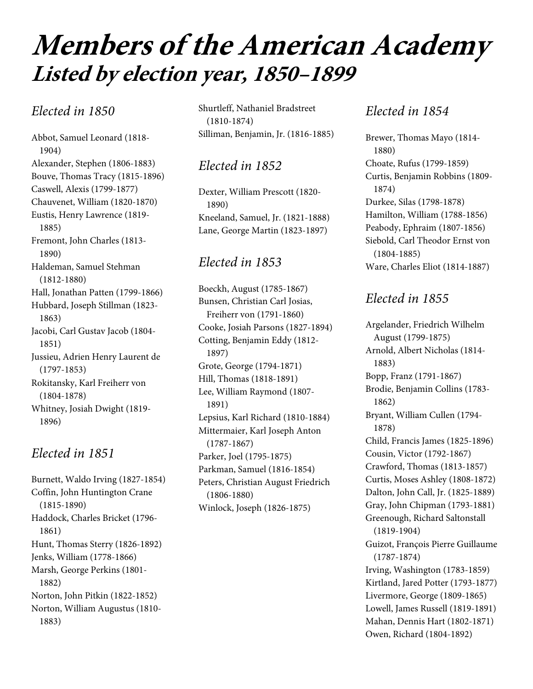# **Members of the American Academy Listed by election year, 1850–1899**

# Elected in 1850

Abbot, Samuel Leonard (1818- 1904) Alexander, Stephen (1806-1883) Bouve, Thomas Tracy (1815-1896) Caswell, Alexis (1799-1877) Chauvenet, William (1820-1870) Eustis, Henry Lawrence (1819- 1885) Fremont, John Charles (1813- 1890) Haldeman, Samuel Stehman (1812-1880) Hall, Jonathan Patten (1799-1866) Hubbard, Joseph Stillman (1823- 1863) Jacobi, Carl Gustav Jacob (1804- 1851) Jussieu, Adrien Henry Laurent de (1797-1853) Rokitansky, Karl Freiherr von (1804-1878) Whitney, Josiah Dwight (1819- 1896)

# Elected in 1851

Burnett, Waldo Irving (1827-1854) Coffin, John Huntington Crane (1815-1890) Haddock, Charles Bricket (1796- 1861) Hunt, Thomas Sterry (1826-1892) Jenks, William (1778-1866) Marsh, George Perkins (1801- 1882) Norton, John Pitkin (1822-1852) Norton, William Augustus (1810- 1883)

Shurtleff, Nathaniel Bradstreet (1810-1874) Silliman, Benjamin, Jr. (1816-1885)

# Elected in 1852

Dexter, William Prescott (1820- 1890) Kneeland, Samuel, Jr. (1821-1888) Lane, George Martin (1823-1897)

# Elected in 1853

Boeckh, August (1785-1867) Bunsen, Christian Carl Josias, Freiherr von (1791-1860) Cooke, Josiah Parsons (1827-1894) Cotting, Benjamin Eddy (1812- 1897) Grote, George (1794-1871) Hill, Thomas (1818-1891) Lee, William Raymond (1807- 1891) Lepsius, Karl Richard (1810-1884) Mittermaier, Karl Joseph Anton (1787-1867) Parker, Joel (1795-1875) Parkman, Samuel (1816-1854) Peters, Christian August Friedrich (1806-1880) Winlock, Joseph (1826-1875)

#### Elected in 1854

Brewer, Thomas Mayo (1814- 1880) Choate, Rufus (1799-1859) Curtis, Benjamin Robbins (1809- 1874) Durkee, Silas (1798-1878) Hamilton, William (1788-1856) Peabody, Ephraim (1807-1856) Siebold, Carl Theodor Ernst von (1804-1885) Ware, Charles Eliot (1814-1887)

# Elected in 1855

Argelander, Friedrich Wilhelm August (1799-1875) Arnold, Albert Nicholas (1814- 1883) Bopp, Franz (1791-1867) Brodie, Benjamin Collins (1783- 1862) Bryant, William Cullen (1794- 1878) Child, Francis James (1825-1896) Cousin, Victor (1792-1867) Crawford, Thomas (1813-1857) Curtis, Moses Ashley (1808-1872) Dalton, John Call, Jr. (1825-1889) Gray, John Chipman (1793-1881) Greenough, Richard Saltonstall (1819-1904) Guizot, François Pierre Guillaume (1787-1874) Irving, Washington (1783-1859) Kirtland, Jared Potter (1793-1877) Livermore, George (1809-1865) Lowell, James Russell (1819-1891) Mahan, Dennis Hart (1802-1871) Owen, Richard (1804-1892)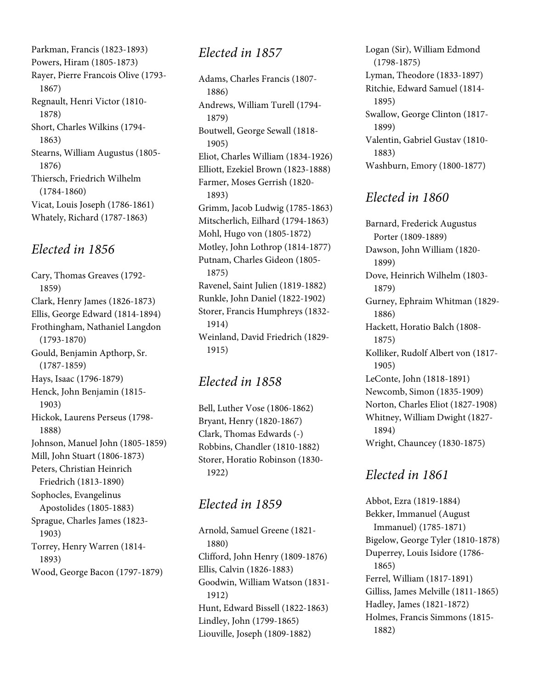Parkman, Francis (1823-1893) Powers, Hiram (1805-1873) Rayer, Pierre Francois Olive (1793- 1867) Regnault, Henri Victor (1810- 1878) Short, Charles Wilkins (1794- 1863) Stearns, William Augustus (1805- 1876) Thiersch, Friedrich Wilhelm (1784-1860) Vicat, Louis Joseph (1786-1861) Whately, Richard (1787-1863)

#### Elected in 1856

Cary, Thomas Greaves (1792- 1859) Clark, Henry James (1826-1873) Ellis, George Edward (1814-1894) Frothingham, Nathaniel Langdon (1793-1870) Gould, Benjamin Apthorp, Sr. (1787-1859) Hays, Isaac (1796-1879) Henck, John Benjamin (1815- 1903) Hickok, Laurens Perseus (1798- 1888) Johnson, Manuel John (1805-1859) Mill, John Stuart (1806-1873) Peters, Christian Heinrich Friedrich (1813-1890) Sophocles, Evangelinus Apostolides (1805-1883) Sprague, Charles James (1823- 1903) Torrey, Henry Warren (1814- 1893) Wood, George Bacon (1797-1879)

## Elected in 1857

Adams, Charles Francis (1807- 1886) Andrews, William Turell (1794- 1879) Boutwell, George Sewall (1818- 1905) Eliot, Charles William (1834-1926) Elliott, Ezekiel Brown (1823-1888) Farmer, Moses Gerrish (1820- 1893) Grimm, Jacob Ludwig (1785-1863) Mitscherlich, Eilhard (1794-1863) Mohl, Hugo von (1805-1872) Motley, John Lothrop (1814-1877) Putnam, Charles Gideon (1805- 1875) Ravenel, Saint Julien (1819-1882) Runkle, John Daniel (1822-1902) Storer, Francis Humphreys (1832- 1914) Weinland, David Friedrich (1829- 1915)

#### Elected in 1858

Bell, Luther Vose (1806-1862) Bryant, Henry (1820-1867) Clark, Thomas Edwards (-) Robbins, Chandler (1810-1882) Storer, Horatio Robinson (1830- 1922)

#### Elected in 1859

Arnold, Samuel Greene (1821- 1880) Clifford, John Henry (1809-1876) Ellis, Calvin (1826-1883) Goodwin, William Watson (1831- 1912) Hunt, Edward Bissell (1822-1863) Lindley, John (1799-1865) Liouville, Joseph (1809-1882)

Logan (Sir), William Edmond (1798-1875) Lyman, Theodore (1833-1897) Ritchie, Edward Samuel (1814- 1895) Swallow, George Clinton (1817- 1899) Valentin, Gabriel Gustav (1810- 1883) Washburn, Emory (1800-1877)

# Elected in 1860

Barnard, Frederick Augustus Porter (1809-1889) Dawson, John William (1820- 1899) Dove, Heinrich Wilhelm (1803- 1879) Gurney, Ephraim Whitman (1829- 1886) Hackett, Horatio Balch (1808- 1875) Kolliker, Rudolf Albert von (1817- 1905) LeConte, John (1818-1891) Newcomb, Simon (1835-1909) Norton, Charles Eliot (1827-1908) Whitney, William Dwight (1827- 1894) Wright, Chauncey (1830-1875)

# Elected in 1861

Abbot, Ezra (1819-1884) Bekker, Immanuel (August Immanuel) (1785-1871) Bigelow, George Tyler (1810-1878) Duperrey, Louis Isidore (1786- 1865) Ferrel, William (1817-1891) Gilliss, James Melville (1811-1865) Hadley, James (1821-1872) Holmes, Francis Simmons (1815- 1882)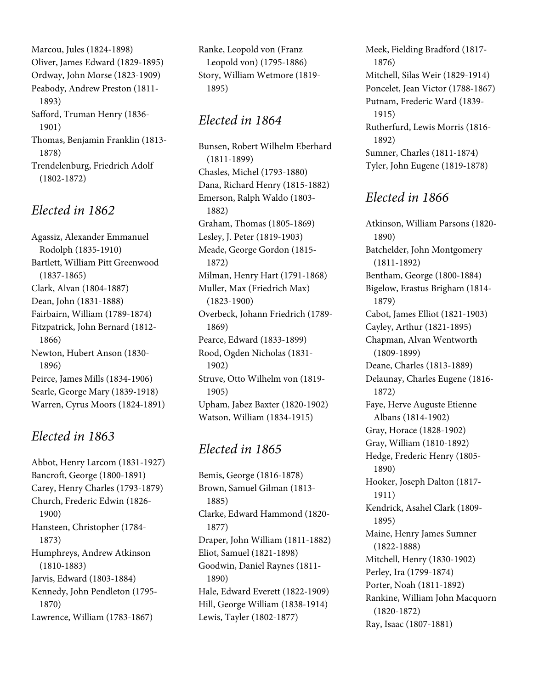Marcou, Jules (1824-1898) Oliver, James Edward (1829-1895) Ordway, John Morse (1823-1909) Peabody, Andrew Preston (1811- 1893) Safford, Truman Henry (1836- 1901) Thomas, Benjamin Franklin (1813- 1878) Trendelenburg, Friedrich Adolf (1802-1872)

#### Elected in 1862

Agassiz, Alexander Emmanuel Rodolph (1835-1910) Bartlett, William Pitt Greenwood (1837-1865) Clark, Alvan (1804-1887) Dean, John (1831-1888) Fairbairn, William (1789-1874) Fitzpatrick, John Bernard (1812- 1866) Newton, Hubert Anson (1830- 1896) Peirce, James Mills (1834-1906) Searle, George Mary (1839-1918) Warren, Cyrus Moors (1824-1891)

# Elected in 1863

Abbot, Henry Larcom (1831-1927) Bancroft, George (1800-1891) Carey, Henry Charles (1793-1879) Church, Frederic Edwin (1826- 1900) Hansteen, Christopher (1784- 1873) Humphreys, Andrew Atkinson (1810-1883) Jarvis, Edward (1803-1884) Kennedy, John Pendleton (1795- 1870) Lawrence, William (1783-1867)

Ranke, Leopold von (Franz Leopold von) (1795-1886) Story, William Wetmore (1819- 1895)

# Elected in 1864

Bunsen, Robert Wilhelm Eberhard (1811-1899) Chasles, Michel (1793-1880) Dana, Richard Henry (1815-1882) Emerson, Ralph Waldo (1803- 1882) Graham, Thomas (1805-1869) Lesley, J. Peter (1819-1903) Meade, George Gordon (1815- 1872) Milman, Henry Hart (1791-1868) Muller, Max (Friedrich Max) (1823-1900) Overbeck, Johann Friedrich (1789- 1869) Pearce, Edward (1833-1899) Rood, Ogden Nicholas (1831- 1902) Struve, Otto Wilhelm von (1819- 1905) Upham, Jabez Baxter (1820-1902) Watson, William (1834-1915)

# Elected in 1865

Bemis, George (1816-1878) Brown, Samuel Gilman (1813- 1885) Clarke, Edward Hammond (1820- 1877) Draper, John William (1811-1882) Eliot, Samuel (1821-1898) Goodwin, Daniel Raynes (1811- 1890) Hale, Edward Everett (1822-1909) Hill, George William (1838-1914) Lewis, Tayler (1802-1877)

Meek, Fielding Bradford (1817- 1876) Mitchell, Silas Weir (1829-1914) Poncelet, Jean Victor (1788-1867) Putnam, Frederic Ward (1839- 1915) Rutherfurd, Lewis Morris (1816- 1892) Sumner, Charles (1811-1874) Tyler, John Eugene (1819-1878)

# Elected in 1866

Atkinson, William Parsons (1820- 1890) Batchelder, John Montgomery (1811-1892) Bentham, George (1800-1884) Bigelow, Erastus Brigham (1814- 1879) Cabot, James Elliot (1821-1903) Cayley, Arthur (1821-1895) Chapman, Alvan Wentworth (1809-1899) Deane, Charles (1813-1889) Delaunay, Charles Eugene (1816- 1872) Faye, Herve Auguste Etienne Albans (1814-1902) Gray, Horace (1828-1902) Gray, William (1810-1892) Hedge, Frederic Henry (1805- 1890) Hooker, Joseph Dalton (1817- 1911) Kendrick, Asahel Clark (1809- 1895) Maine, Henry James Sumner (1822-1888) Mitchell, Henry (1830-1902) Perley, Ira (1799-1874) Porter, Noah (1811-1892) Rankine, William John Macquorn (1820-1872) Ray, Isaac (1807-1881)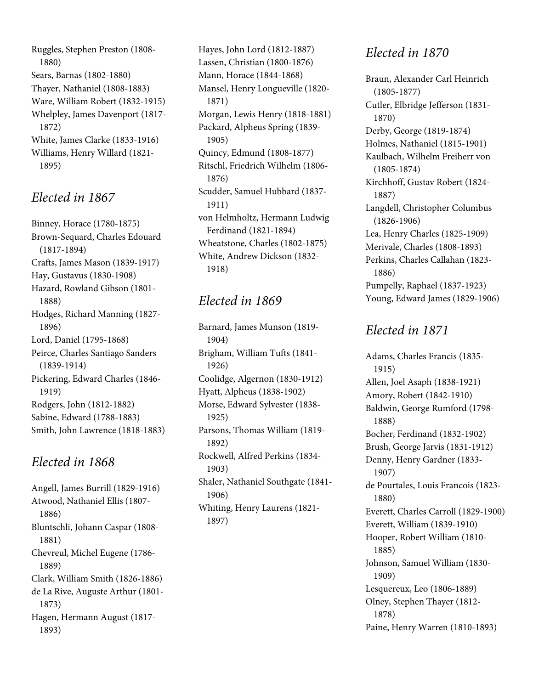Ruggles, Stephen Preston (1808- 1880) Sears, Barnas (1802-1880) Thayer, Nathaniel (1808-1883) Ware, William Robert (1832-1915) Whelpley, James Davenport (1817- 1872) White, James Clarke (1833-1916) Williams, Henry Willard (1821- 1895)

#### Elected in 1867

Binney, Horace (1780-1875) Brown-Sequard, Charles Edouard (1817-1894) Crafts, James Mason (1839-1917) Hay, Gustavus (1830-1908) Hazard, Rowland Gibson (1801- 1888) Hodges, Richard Manning (1827- 1896) Lord, Daniel (1795-1868) Peirce, Charles Santiago Sanders (1839-1914) Pickering, Edward Charles (1846- 1919) Rodgers, John (1812-1882) Sabine, Edward (1788-1883) Smith, John Lawrence (1818-1883)

# Elected in 1868

Angell, James Burrill (1829-1916) Atwood, Nathaniel Ellis (1807- 1886) Bluntschli, Johann Caspar (1808- 1881) Chevreul, Michel Eugene (1786- 1889) Clark, William Smith (1826-1886) de La Rive, Auguste Arthur (1801- 1873) Hagen, Hermann August (1817- 1893)

Hayes, John Lord (1812-1887) Lassen, Christian (1800-1876) Mann, Horace (1844-1868) Mansel, Henry Longueville (1820- 1871) Morgan, Lewis Henry (1818-1881) Packard, Alpheus Spring (1839- 1905) Quincy, Edmund (1808-1877) Ritschl, Friedrich Wilhelm (1806- 1876) Scudder, Samuel Hubbard (1837- 1911) von Helmholtz, Hermann Ludwig Ferdinand (1821-1894) Wheatstone, Charles (1802-1875) White, Andrew Dickson (1832- 1918)

# Elected in 1869

Barnard, James Munson (1819- 1904) Brigham, William Tufts (1841- 1926) Coolidge, Algernon (1830-1912) Hyatt, Alpheus (1838-1902) Morse, Edward Sylvester (1838- 1925) Parsons, Thomas William (1819- 1892) Rockwell, Alfred Perkins (1834- 1903) Shaler, Nathaniel Southgate (1841- 1906) Whiting, Henry Laurens (1821- 1897)

# Elected in 1870

Braun, Alexander Carl Heinrich (1805-1877) Cutler, Elbridge Jefferson (1831- 1870) Derby, George (1819-1874) Holmes, Nathaniel (1815-1901) Kaulbach, Wilhelm Freiherr von (1805-1874) Kirchhoff, Gustav Robert (1824- 1887) Langdell, Christopher Columbus (1826-1906) Lea, Henry Charles (1825-1909) Merivale, Charles (1808-1893) Perkins, Charles Callahan (1823- 1886) Pumpelly, Raphael (1837-1923) Young, Edward James (1829-1906)

# Elected in 1871

Adams, Charles Francis (1835- 1915) Allen, Joel Asaph (1838-1921) Amory, Robert (1842-1910) Baldwin, George Rumford (1798- 1888) Bocher, Ferdinand (1832-1902) Brush, George Jarvis (1831-1912) Denny, Henry Gardner (1833- 1907) de Pourtales, Louis Francois (1823- 1880) Everett, Charles Carroll (1829-1900) Everett, William (1839-1910) Hooper, Robert William (1810- 1885) Johnson, Samuel William (1830- 1909) Lesquereux, Leo (1806-1889) Olney, Stephen Thayer (1812- 1878) Paine, Henry Warren (1810-1893)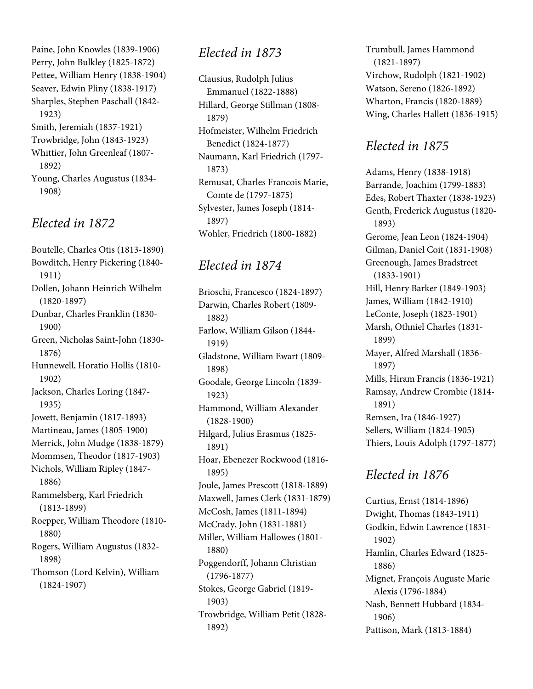Paine, John Knowles (1839-1906) Perry, John Bulkley (1825-1872) Pettee, William Henry (1838-1904) Seaver, Edwin Pliny (1838-1917) Sharples, Stephen Paschall (1842- 1923) Smith, Jeremiah (1837-1921) Trowbridge, John (1843-1923) Whittier, John Greenleaf (1807- 1892) Young, Charles Augustus (1834- 1908)

#### Elected in 1872

Boutelle, Charles Otis (1813-1890) Bowditch, Henry Pickering (1840- 1911) Dollen, Johann Heinrich Wilhelm (1820-1897) Dunbar, Charles Franklin (1830- 1900) Green, Nicholas Saint-John (1830- 1876) Hunnewell, Horatio Hollis (1810- 1902) Jackson, Charles Loring (1847- 1935) Jowett, Benjamin (1817-1893) Martineau, James (1805-1900) Merrick, John Mudge (1838-1879) Mommsen, Theodor (1817-1903) Nichols, William Ripley (1847- 1886) Rammelsberg, Karl Friedrich (1813-1899) Roepper, William Theodore (1810- 1880) Rogers, William Augustus (1832- 1898) Thomson (Lord Kelvin), William (1824-1907)

#### Elected in 1873

Clausius, Rudolph Julius Emmanuel (1822-1888) Hillard, George Stillman (1808- 1879) Hofmeister, Wilhelm Friedrich Benedict (1824-1877) Naumann, Karl Friedrich (1797- 1873) Remusat, Charles Francois Marie, Comte de (1797-1875) Sylvester, James Joseph (1814- 1897) Wohler, Friedrich (1800-1882)

# Elected in 1874

Brioschi, Francesco (1824-1897) Darwin, Charles Robert (1809- 1882) Farlow, William Gilson (1844- 1919) Gladstone, William Ewart (1809- 1898) Goodale, George Lincoln (1839- 1923) Hammond, William Alexander (1828-1900) Hilgard, Julius Erasmus (1825- 1891) Hoar, Ebenezer Rockwood (1816- 1895) Joule, James Prescott (1818-1889) Maxwell, James Clerk (1831-1879) McCosh, James (1811-1894) McCrady, John (1831-1881) Miller, William Hallowes (1801- 1880) Poggendorff, Johann Christian (1796-1877) Stokes, George Gabriel (1819- 1903) Trowbridge, William Petit (1828- 1892)

Trumbull, James Hammond (1821-1897) Virchow, Rudolph (1821-1902) Watson, Sereno (1826-1892) Wharton, Francis (1820-1889) Wing, Charles Hallett (1836-1915)

# Elected in 1875

Adams, Henry (1838-1918) Barrande, Joachim (1799-1883) Edes, Robert Thaxter (1838-1923) Genth, Frederick Augustus (1820- 1893) Gerome, Jean Leon (1824-1904) Gilman, Daniel Coit (1831-1908) Greenough, James Bradstreet (1833-1901) Hill, Henry Barker (1849-1903) James, William (1842-1910) LeConte, Joseph (1823-1901) Marsh, Othniel Charles (1831- 1899) Mayer, Alfred Marshall (1836- 1897) Mills, Hiram Francis (1836-1921) Ramsay, Andrew Crombie (1814- 1891) Remsen, Ira (1846-1927) Sellers, William (1824-1905) Thiers, Louis Adolph (1797-1877)

# Elected in 1876

Curtius, Ernst (1814-1896) Dwight, Thomas (1843-1911) Godkin, Edwin Lawrence (1831- 1902) Hamlin, Charles Edward (1825- 1886) Mignet, François Auguste Marie Alexis (1796-1884) Nash, Bennett Hubbard (1834- 1906) Pattison, Mark (1813-1884)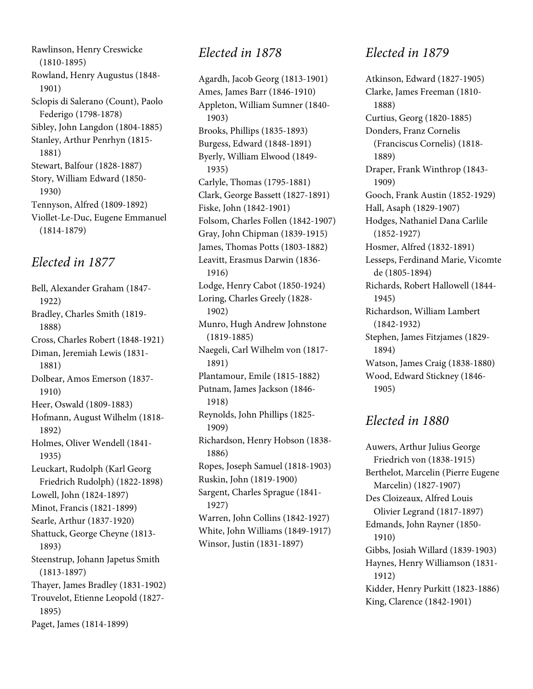Rawlinson, Henry Creswicke (1810-1895) Rowland, Henry Augustus (1848- 1901) Sclopis di Salerano (Count), Paolo Federigo (1798-1878) Sibley, John Langdon (1804-1885) Stanley, Arthur Penrhyn (1815- 1881) Stewart, Balfour (1828-1887) Story, William Edward (1850- 1930) Tennyson, Alfred (1809-1892) Viollet-Le-Duc, Eugene Emmanuel (1814-1879)

# Elected in 1877

Bell, Alexander Graham (1847- 1922) Bradley, Charles Smith (1819- 1888) Cross, Charles Robert (1848-1921) Diman, Jeremiah Lewis (1831- 1881) Dolbear, Amos Emerson (1837- 1910) Heer, Oswald (1809-1883) Hofmann, August Wilhelm (1818- 1892) Holmes, Oliver Wendell (1841- 1935) Leuckart, Rudolph (Karl Georg Friedrich Rudolph) (1822-1898) Lowell, John (1824-1897) Minot, Francis (1821-1899) Searle, Arthur (1837-1920) Shattuck, George Cheyne (1813- 1893) Steenstrup, Johann Japetus Smith (1813-1897) Thayer, James Bradley (1831-1902) Trouvelot, Etienne Leopold (1827- 1895) Paget, James (1814-1899)

#### Elected in 1878

Agardh, Jacob Georg (1813-1901) Ames, James Barr (1846-1910) Appleton, William Sumner (1840- 1903) Brooks, Phillips (1835-1893) Burgess, Edward (1848-1891) Byerly, William Elwood (1849- 1935) Carlyle, Thomas (1795-1881) Clark, George Bassett (1827-1891) Fiske, John (1842-1901) Folsom, Charles Follen (1842-1907) Gray, John Chipman (1839-1915) James, Thomas Potts (1803-1882) Leavitt, Erasmus Darwin (1836- 1916) Lodge, Henry Cabot (1850-1924) Loring, Charles Greely (1828- 1902) Munro, Hugh Andrew Johnstone (1819-1885) Naegeli, Carl Wilhelm von (1817- 1891) Plantamour, Emile (1815-1882) Putnam, James Jackson (1846- 1918) Reynolds, John Phillips (1825- 1909) Richardson, Henry Hobson (1838- 1886) Ropes, Joseph Samuel (1818-1903) Ruskin, John (1819-1900) Sargent, Charles Sprague (1841- 1927) Warren, John Collins (1842-1927) White, John Williams (1849-1917) Winsor, Justin (1831-1897)

#### Elected in 1879

Atkinson, Edward (1827-1905) Clarke, James Freeman (1810- 1888) Curtius, Georg (1820-1885) Donders, Franz Cornelis (Franciscus Cornelis) (1818- 1889) Draper, Frank Winthrop (1843- 1909) Gooch, Frank Austin (1852-1929) Hall, Asaph (1829-1907) Hodges, Nathaniel Dana Carlile (1852-1927) Hosmer, Alfred (1832-1891) Lesseps, Ferdinand Marie, Vicomte de (1805-1894) Richards, Robert Hallowell (1844- 1945) Richardson, William Lambert (1842-1932) Stephen, James Fitzjames (1829- 1894) Watson, James Craig (1838-1880) Wood, Edward Stickney (1846- 1905)

# Elected in 1880

Auwers, Arthur Julius George Friedrich von (1838-1915) Berthelot, Marcelin (Pierre Eugene Marcelin) (1827-1907) Des Cloizeaux, Alfred Louis Olivier Legrand (1817-1897) Edmands, John Rayner (1850- 1910) Gibbs, Josiah Willard (1839-1903) Haynes, Henry Williamson (1831- 1912) Kidder, Henry Purkitt (1823-1886) King, Clarence (1842-1901)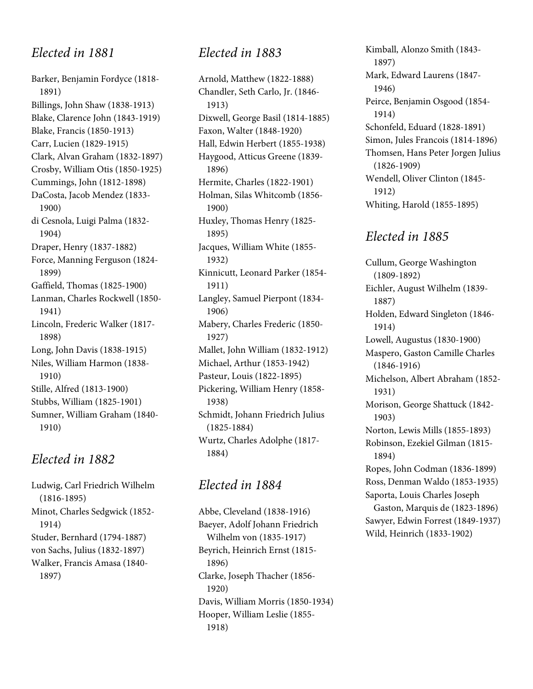Barker, Benjamin Fordyce (1818- 1891) Billings, John Shaw (1838-1913) Blake, Clarence John (1843-1919) Blake, Francis (1850-1913) Carr, Lucien (1829-1915) Clark, Alvan Graham (1832-1897) Crosby, William Otis (1850-1925) Cummings, John (1812-1898) DaCosta, Jacob Mendez (1833- 1900) di Cesnola, Luigi Palma (1832- 1904) Draper, Henry (1837-1882) Force, Manning Ferguson (1824- 1899) Gaffield, Thomas (1825-1900) Lanman, Charles Rockwell (1850- 1941) Lincoln, Frederic Walker (1817- 1898) Long, John Davis (1838-1915) Niles, William Harmon (1838- 1910) Stille, Alfred (1813-1900) Stubbs, William (1825-1901) Sumner, William Graham (1840- 1910)

#### Elected in 1882

Ludwig, Carl Friedrich Wilhelm (1816-1895) Minot, Charles Sedgwick (1852- 1914) Studer, Bernhard (1794-1887) von Sachs, Julius (1832-1897) Walker, Francis Amasa (1840- 1897)

# Elected in 1883

Arnold, Matthew (1822-1888) Chandler, Seth Carlo, Jr. (1846- 1913) Dixwell, George Basil (1814-1885) Faxon, Walter (1848-1920) Hall, Edwin Herbert (1855-1938) Haygood, Atticus Greene (1839- 1896) Hermite, Charles (1822-1901) Holman, Silas Whitcomb (1856- 1900) Huxley, Thomas Henry (1825- 1895) Jacques, William White (1855- 1932) Kinnicutt, Leonard Parker (1854- 1911) Langley, Samuel Pierpont (1834- 1906) Mabery, Charles Frederic (1850- 1927) Mallet, John William (1832-1912) Michael, Arthur (1853-1942) Pasteur, Louis (1822-1895) Pickering, William Henry (1858- 1938) Schmidt, Johann Friedrich Julius (1825-1884) Wurtz, Charles Adolphe (1817- 1884)

# Elected in 1884

Abbe, Cleveland (1838-1916) Baeyer, Adolf Johann Friedrich Wilhelm von (1835-1917) Beyrich, Heinrich Ernst (1815- 1896) Clarke, Joseph Thacher (1856- 1920) Davis, William Morris (1850-1934) Hooper, William Leslie (1855- 1918)

Kimball, Alonzo Smith (1843- 1897) Mark, Edward Laurens (1847- 1946) Peirce, Benjamin Osgood (1854- 1914) Schonfeld, Eduard (1828-1891) Simon, Jules Francois (1814-1896) Thomsen, Hans Peter Jorgen Julius (1826-1909) Wendell, Oliver Clinton (1845- 1912) Whiting, Harold (1855-1895)

# Elected in 1885

Cullum, George Washington (1809-1892) Eichler, August Wilhelm (1839- 1887) Holden, Edward Singleton (1846- 1914) Lowell, Augustus (1830-1900) Maspero, Gaston Camille Charles (1846-1916) Michelson, Albert Abraham (1852- 1931) Morison, George Shattuck (1842- 1903) Norton, Lewis Mills (1855-1893) Robinson, Ezekiel Gilman (1815- 1894) Ropes, John Codman (1836-1899) Ross, Denman Waldo (1853-1935) Saporta, Louis Charles Joseph Gaston, Marquis de (1823-1896) Sawyer, Edwin Forrest (1849-1937) Wild, Heinrich (1833-1902)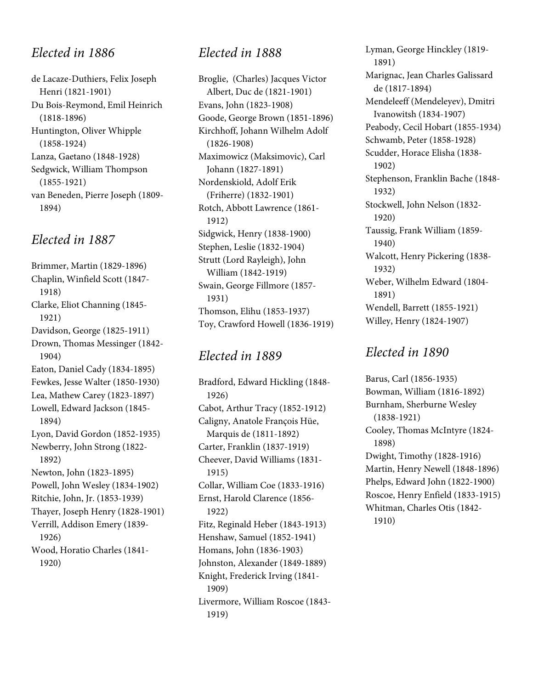de Lacaze-Duthiers, Felix Joseph Henri (1821-1901) Du Bois-Reymond, Emil Heinrich (1818-1896) Huntington, Oliver Whipple (1858-1924) Lanza, Gaetano (1848-1928) Sedgwick, William Thompson (1855-1921) van Beneden, Pierre Joseph (1809- 1894)

# Elected in 1887

Brimmer, Martin (1829-1896) Chaplin, Winfield Scott (1847- 1918) Clarke, Eliot Channing (1845- 1921) Davidson, George (1825-1911) Drown, Thomas Messinger (1842- 1904) Eaton, Daniel Cady (1834-1895) Fewkes, Jesse Walter (1850-1930) Lea, Mathew Carey (1823-1897) Lowell, Edward Jackson (1845- 1894) Lyon, David Gordon (1852-1935) Newberry, John Strong (1822- 1892) Newton, John (1823-1895) Powell, John Wesley (1834-1902) Ritchie, John, Jr. (1853-1939) Thayer, Joseph Henry (1828-1901) Verrill, Addison Emery (1839- 1926) Wood, Horatio Charles (1841- 1920)

# Elected in 1888

Broglie, (Charles) Jacques Victor Albert, Duc de (1821-1901) Evans, John (1823-1908) Goode, George Brown (1851-1896) Kirchhoff, Johann Wilhelm Adolf (1826-1908) Maximowicz (Maksimovic), Carl Johann (1827-1891) Nordenskiold, Adolf Erik (Friherre) (1832-1901) Rotch, Abbott Lawrence (1861- 1912) Sidgwick, Henry (1838-1900) Stephen, Leslie (1832-1904) Strutt (Lord Rayleigh), John William (1842-1919) Swain, George Fillmore (1857- 1931) Thomson, Elihu (1853-1937) Toy, Crawford Howell (1836-1919)

# Elected in 1889

Bradford, Edward Hickling (1848- 1926) Cabot, Arthur Tracy (1852-1912) Caligny, Anatole François Hüe, Marquis de (1811-1892) Carter, Franklin (1837-1919) Cheever, David Williams (1831- 1915) Collar, William Coe (1833-1916) Ernst, Harold Clarence (1856- 1922) Fitz, Reginald Heber (1843-1913) Henshaw, Samuel (1852-1941) Homans, John (1836-1903) Johnston, Alexander (1849-1889) Knight, Frederick Irving (1841- 1909) Livermore, William Roscoe (1843- 1919)

Lyman, George Hinckley (1819- 1891) Marignac, Jean Charles Galissard de (1817-1894) Mendeleeff (Mendeleyev), Dmitri Ivanowitsh (1834-1907) Peabody, Cecil Hobart (1855-1934) Schwamb, Peter (1858-1928) Scudder, Horace Elisha (1838- 1902) Stephenson, Franklin Bache (1848- 1932) Stockwell, John Nelson (1832- 1920) Taussig, Frank William (1859- 1940) Walcott, Henry Pickering (1838- 1932) Weber, Wilhelm Edward (1804- 1891) Wendell, Barrett (1855-1921) Willey, Henry (1824-1907)

# Elected in 1890

Barus, Carl (1856-1935) Bowman, William (1816-1892) Burnham, Sherburne Wesley (1838-1921) Cooley, Thomas McIntyre (1824- 1898) Dwight, Timothy (1828-1916) Martin, Henry Newell (1848-1896) Phelps, Edward John (1822-1900) Roscoe, Henry Enfield (1833-1915) Whitman, Charles Otis (1842- 1910)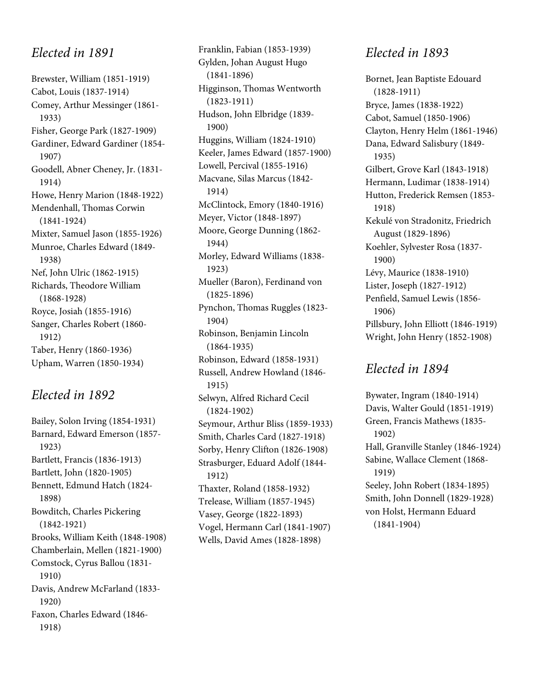Brewster, William (1851-1919) Cabot, Louis (1837-1914) Comey, Arthur Messinger (1861- 1933) Fisher, George Park (1827-1909) Gardiner, Edward Gardiner (1854- 1907) Goodell, Abner Cheney, Jr. (1831- 1914) Howe, Henry Marion (1848-1922) Mendenhall, Thomas Corwin (1841-1924) Mixter, Samuel Jason (1855-1926) Munroe, Charles Edward (1849- 1938) Nef, John Ulric (1862-1915) Richards, Theodore William (1868-1928) Royce, Josiah (1855-1916) Sanger, Charles Robert (1860- 1912) Taber, Henry (1860-1936) Upham, Warren (1850-1934)

# Elected in 1892

Bailey, Solon Irving (1854-1931) Barnard, Edward Emerson (1857- 1923) Bartlett, Francis (1836-1913) Bartlett, John (1820-1905) Bennett, Edmund Hatch (1824- 1898) Bowditch, Charles Pickering (1842-1921) Brooks, William Keith (1848-1908) Chamberlain, Mellen (1821-1900) Comstock, Cyrus Ballou (1831- 1910) Davis, Andrew McFarland (1833- 1920) Faxon, Charles Edward (1846- 1918)

Franklin, Fabian (1853-1939) Gylden, Johan August Hugo (1841-1896) Higginson, Thomas Wentworth (1823-1911) Hudson, John Elbridge (1839- 1900) Huggins, William (1824-1910) Keeler, James Edward (1857-1900) Lowell, Percival (1855-1916) Macvane, Silas Marcus (1842- 1914) McClintock, Emory (1840-1916) Meyer, Victor (1848-1897) Moore, George Dunning (1862- 1944) Morley, Edward Williams (1838- 1923) Mueller (Baron), Ferdinand von (1825-1896) Pynchon, Thomas Ruggles (1823- 1904) Robinson, Benjamin Lincoln (1864-1935) Robinson, Edward (1858-1931) Russell, Andrew Howland (1846- 1915) Selwyn, Alfred Richard Cecil (1824-1902) Seymour, Arthur Bliss (1859-1933) Smith, Charles Card (1827-1918) Sorby, Henry Clifton (1826-1908) Strasburger, Eduard Adolf (1844- 1912) Thaxter, Roland (1858-1932) Trelease, William (1857-1945) Vasey, George (1822-1893) Vogel, Hermann Carl (1841-1907) Wells, David Ames (1828-1898)

# Elected in 1893

Bornet, Jean Baptiste Edouard (1828-1911) Bryce, James (1838-1922) Cabot, Samuel (1850-1906) Clayton, Henry Helm (1861-1946) Dana, Edward Salisbury (1849- 1935) Gilbert, Grove Karl (1843-1918) Hermann, Ludimar (1838-1914) Hutton, Frederick Remsen (1853- 1918) Kekulé von Stradonitz, Friedrich August (1829-1896) Koehler, Sylvester Rosa (1837- 1900) Lévy, Maurice (1838-1910) Lister, Joseph (1827-1912) Penfield, Samuel Lewis (1856- 1906) Pillsbury, John Elliott (1846-1919) Wright, John Henry (1852-1908)

# Elected in 1894

Bywater, Ingram (1840-1914) Davis, Walter Gould (1851-1919) Green, Francis Mathews (1835- 1902) Hall, Granville Stanley (1846-1924) Sabine, Wallace Clement (1868- 1919) Seeley, John Robert (1834-1895) Smith, John Donnell (1829-1928) von Holst, Hermann Eduard (1841-1904)